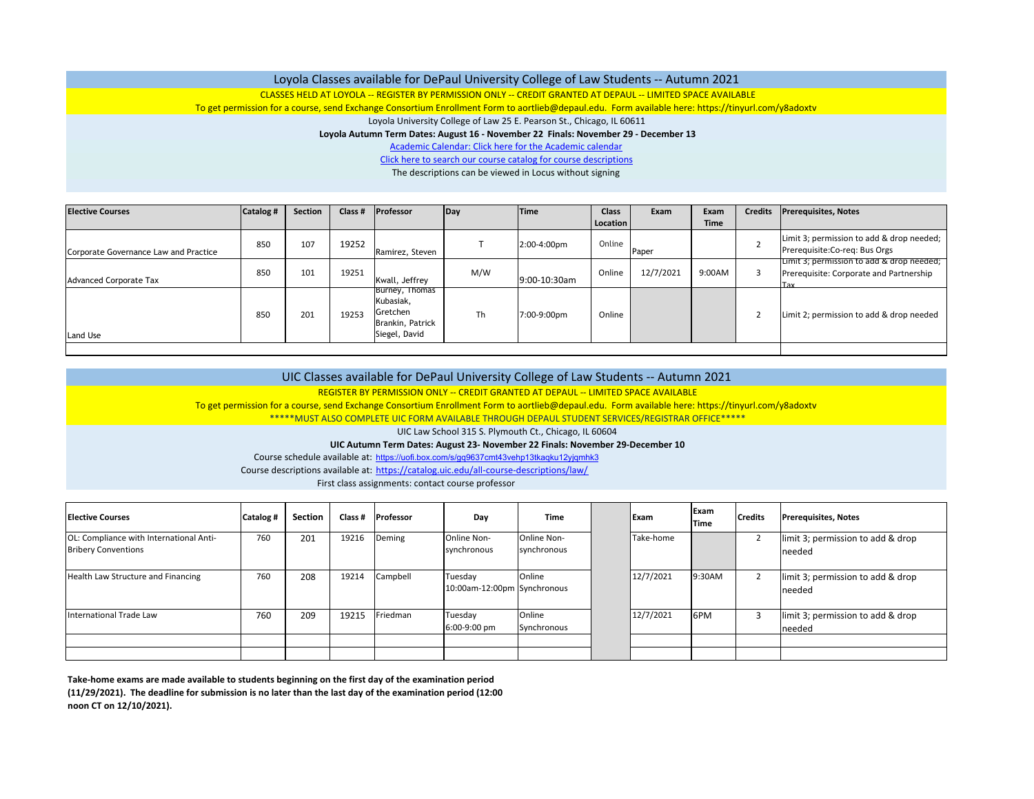## Loyola Classes available for DePaul University College of Law Students ‐‐ Autumn 2021

CLASSES HELD AT LOYOLA ‐‐ REGISTER BY PERMISSION ONLY ‐‐ CREDIT GRANTED AT DEPAUL ‐‐ LIMITED SPACE AVAILABLE

To get permission for <sup>a</sup> course, send Exchange Consortium Enrollment Form to aortlieb@depaul.edu. Form available here: https://tinyurl.com/y8adoxtv

Loyola University College of Law 25 E. Pearson St., Chicago, IL 60611

## **Loyola Autumn Term Dates: August 16 ‐ November 22 Finals: November 29 ‐ December 13**

Academic Calendar: Click here for the Academic calendar

Click here to search our course catalog for course descriptions

The descriptions can be viewed in Locus without signing

| <b>Elective Courses</b>               | Catalog # | <b>Section</b> | Class # | Professor                                                                     | Day | <b>Time</b>  | <b>Class</b> | Exam      | Exam        | <b>Credits</b> | <b>Prerequisites, Notes</b>                                                                 |
|---------------------------------------|-----------|----------------|---------|-------------------------------------------------------------------------------|-----|--------------|--------------|-----------|-------------|----------------|---------------------------------------------------------------------------------------------|
|                                       |           |                |         |                                                                               |     |              | Location     |           | <b>Time</b> |                |                                                                                             |
| Corporate Governance Law and Practice | 850       | 107            | 19252   | Ramirez, Steven                                                               |     | 2:00-4:00pm  | Online       | Paper     |             |                | Limit 3; permission to add & drop needed;<br>Prerequisite: Co-req: Bus Orgs                 |
| <b>Advanced Corporate Tax</b>         | 850       | 101            | 19251   | Kwall, Jeffrey                                                                | M/W | 9:00-10:30am | Online       | 12/7/2021 | 9:00AM      |                | Limit 3; permission to add & drop needed;<br>Prerequisite: Corporate and Partnership<br>Tay |
| <b>Land Use</b>                       | 850       | 201            | 19253   | Burney, I homas<br>Kubasiak,<br>Gretchen<br>Brankin, Patrick<br>Siegel, David | Th  | 7:00-9:00pm  | Online       |           |             |                | Limit 2; permission to add & drop needed                                                    |
|                                       |           |                |         |                                                                               |     |              |              |           |             |                |                                                                                             |

| Course descriptions available at: https://catalog.uic.edu/all-course-descriptions/law/<br>First class assignments: contact course professor        |  |  |  |  |  |  |  |  |  |  |  |
|----------------------------------------------------------------------------------------------------------------------------------------------------|--|--|--|--|--|--|--|--|--|--|--|
| Course schedule available at: https://uofi.box.com/s/gq9637cmt43vehp13tkaqku12yjqmhk3                                                              |  |  |  |  |  |  |  |  |  |  |  |
| UIC Autumn Term Dates: August 23- November 22 Finals: November 29-December 10                                                                      |  |  |  |  |  |  |  |  |  |  |  |
| UIC Law School 315 S. Plymouth Ct., Chicago, IL 60604                                                                                              |  |  |  |  |  |  |  |  |  |  |  |
| ***** MUST ALSO COMPLETE UIC FORM AVAILABLE THROUGH DEPAUL STUDENT SERVICES/REGISTRAR OFFICE*****                                                  |  |  |  |  |  |  |  |  |  |  |  |
| To get permission for a course, send Exchange Consortium Enrollment Form to aortlieb@depaul.edu. Form available here: https://tinyurl.com/y8adoxtv |  |  |  |  |  |  |  |  |  |  |  |
| REGISTER BY PERMISSION ONLY -- CREDIT GRANTED AT DEPAUL -- LIMITED SPACE AVAILABLE                                                                 |  |  |  |  |  |  |  |  |  |  |  |
| UIC Classes available for DePaul University College of Law Students -- Autumn 2021                                                                 |  |  |  |  |  |  |  |  |  |  |  |
|                                                                                                                                                    |  |  |  |  |  |  |  |  |  |  |  |

| <b>Elective Courses</b>                                               | Catalog # | <b>Section</b> | Class # | Professor | Day                                    | <b>Time</b>                | Exam      | Exam<br><b>Time</b> | <b>Credits</b> | <b>Prerequisites, Notes</b>                  |
|-----------------------------------------------------------------------|-----------|----------------|---------|-----------|----------------------------------------|----------------------------|-----------|---------------------|----------------|----------------------------------------------|
| OL: Compliance with International Anti-<br><b>Bribery Conventions</b> | 760       | 201            | 19216   | Deming    | Online Non-<br>synchronous             | Online Non-<br>synchronous | Take-home |                     |                | limit 3; permission to add & drop<br>Ineeded |
| Health Law Structure and Financing                                    | 760       | 208            | 19214   | Campbell  | Tuesday<br>10:00am-12:00pm Synchronous | Online                     | 12/7/2021 | 9:30AM              |                | limit 3; permission to add & drop<br>needed  |
| <b>International Trade Law</b>                                        | 760       | 209            | 19215   | Friedman  | Tuesday<br>6:00-9:00 pm                | Online<br>Synchronous      | 12/7/2021 | 6PM                 |                | limit 3; permission to add & drop<br>needed  |
|                                                                       |           |                |         |           |                                        |                            |           |                     |                |                                              |
|                                                                       |           |                |         |           |                                        |                            |           |                     |                |                                              |

Take-home exams are made available to students beginning on the first day of the examination period **(11/29/2021). The deadline for submission is no later than the last day of the examination period (12:00 noon CT on 12/10/2021).**